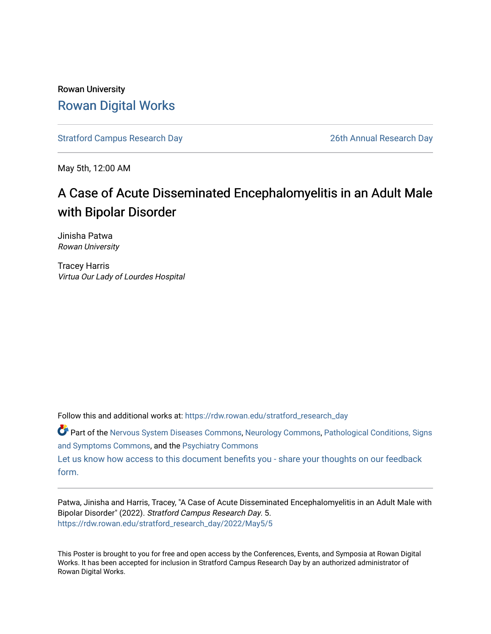#### Rowan University [Rowan Digital Works](https://rdw.rowan.edu/)

[Stratford Campus Research Day](https://rdw.rowan.edu/stratford_research_day) [26th Annual Research Day](https://rdw.rowan.edu/stratford_research_day/2022) 

May 5th, 12:00 AM

#### A Case of Acute Disseminated Encephalomyelitis in an Adult Male with Bipolar Disorder

Jinisha Patwa Rowan University

Tracey Harris Virtua Our Lady of Lourdes Hospital

Follow this and additional works at: [https://rdw.rowan.edu/stratford\\_research\\_day](https://rdw.rowan.edu/stratford_research_day?utm_source=rdw.rowan.edu%2Fstratford_research_day%2F2022%2FMay5%2F5&utm_medium=PDF&utm_campaign=PDFCoverPages)

Part of the [Nervous System Diseases Commons](https://network.bepress.com/hgg/discipline/928?utm_source=rdw.rowan.edu%2Fstratford_research_day%2F2022%2FMay5%2F5&utm_medium=PDF&utm_campaign=PDFCoverPages), [Neurology Commons,](https://network.bepress.com/hgg/discipline/692?utm_source=rdw.rowan.edu%2Fstratford_research_day%2F2022%2FMay5%2F5&utm_medium=PDF&utm_campaign=PDFCoverPages) [Pathological Conditions, Signs](https://network.bepress.com/hgg/discipline/1004?utm_source=rdw.rowan.edu%2Fstratford_research_day%2F2022%2FMay5%2F5&utm_medium=PDF&utm_campaign=PDFCoverPages) [and Symptoms Commons](https://network.bepress.com/hgg/discipline/1004?utm_source=rdw.rowan.edu%2Fstratford_research_day%2F2022%2FMay5%2F5&utm_medium=PDF&utm_campaign=PDFCoverPages), and the [Psychiatry Commons](https://network.bepress.com/hgg/discipline/704?utm_source=rdw.rowan.edu%2Fstratford_research_day%2F2022%2FMay5%2F5&utm_medium=PDF&utm_campaign=PDFCoverPages)

[Let us know how access to this document benefits you - share your thoughts on our feedback](https://www.lib.rowan.edu/rdw-feedback?ref=https://rdw.rowan.edu/stratford_research_day/2022/May5/5) [form.](https://www.lib.rowan.edu/rdw-feedback?ref=https://rdw.rowan.edu/stratford_research_day/2022/May5/5)

Patwa, Jinisha and Harris, Tracey, "A Case of Acute Disseminated Encephalomyelitis in an Adult Male with Bipolar Disorder" (2022). Stratford Campus Research Day. 5. [https://rdw.rowan.edu/stratford\\_research\\_day/2022/May5/5](https://rdw.rowan.edu/stratford_research_day/2022/May5/5?utm_source=rdw.rowan.edu%2Fstratford_research_day%2F2022%2FMay5%2F5&utm_medium=PDF&utm_campaign=PDFCoverPages)

This Poster is brought to you for free and open access by the Conferences, Events, and Symposia at Rowan Digital Works. It has been accepted for inclusion in Stratford Campus Research Day by an authorized administrator of Rowan Digital Works.